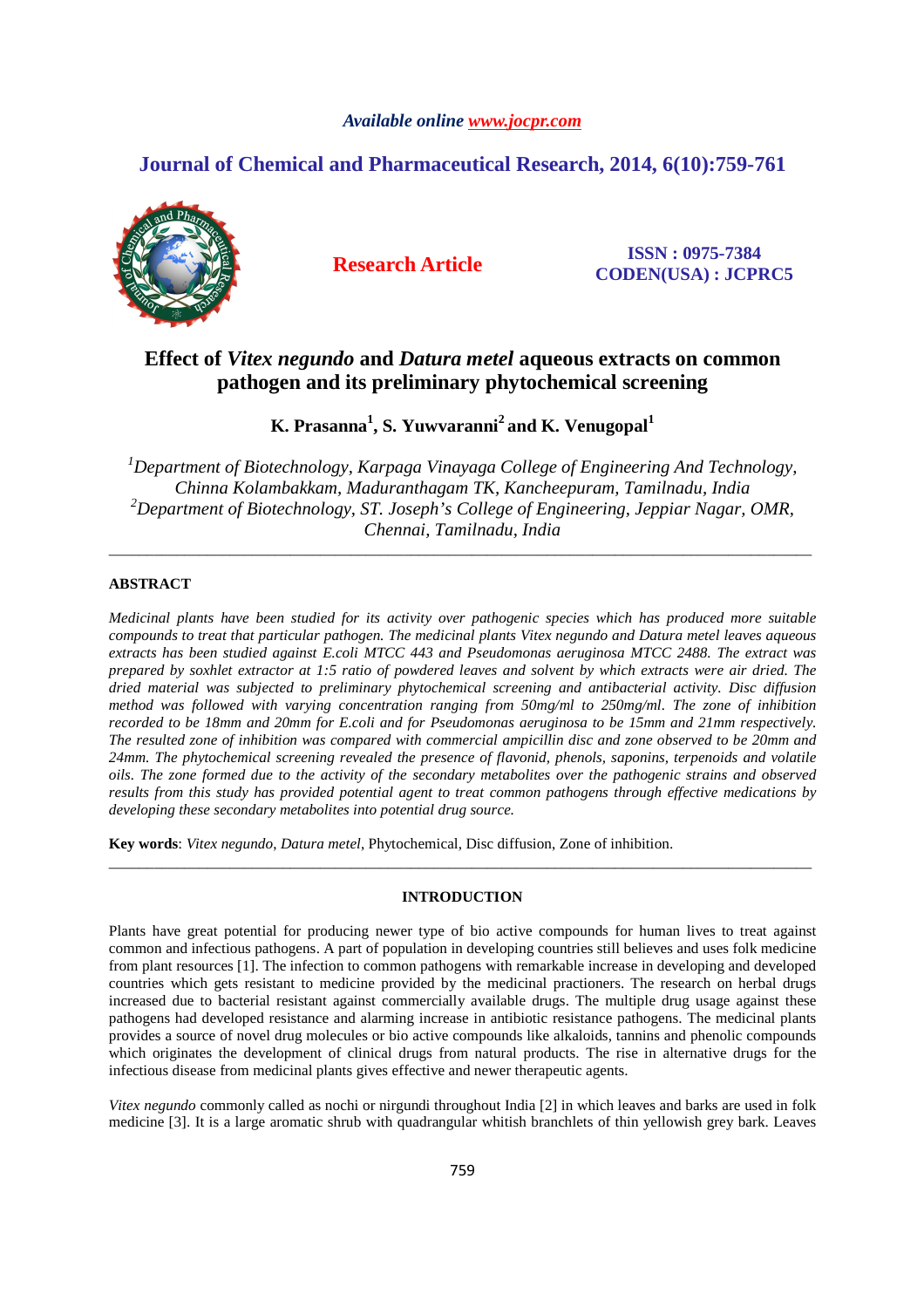# *Available online www.jocpr.com*

# **Journal of Chemical and Pharmaceutical Research, 2014, 6(10):759-761**



**Research Article ISSN : 0975-7384 CODEN(USA) : JCPRC5**

# **Effect of** *Vitex negundo* **and** *Datura metel* **aqueous extracts on common pathogen and its preliminary phytochemical screening**

**K. Prasanna<sup>1</sup> , S. Yuwvaranni<sup>2</sup>and K. Venugopal<sup>1</sup>**

*<sup>1</sup>Department of Biotechnology, Karpaga Vinayaga College of Engineering And Technology, Chinna Kolambakkam, Maduranthagam TK, Kancheepuram, Tamilnadu, India <sup>2</sup>Department of Biotechnology, ST. Joseph's College of Engineering, Jeppiar Nagar, OMR, Chennai, Tamilnadu, India* 

\_\_\_\_\_\_\_\_\_\_\_\_\_\_\_\_\_\_\_\_\_\_\_\_\_\_\_\_\_\_\_\_\_\_\_\_\_\_\_\_\_\_\_\_\_\_\_\_\_\_\_\_\_\_\_\_\_\_\_\_\_\_\_\_\_\_\_\_\_\_\_\_\_\_\_\_\_\_\_\_\_\_\_\_\_\_\_\_\_\_\_\_\_

# **ABSTRACT**

*Medicinal plants have been studied for its activity over pathogenic species which has produced more suitable compounds to treat that particular pathogen. The medicinal plants Vitex negundo and Datura metel leaves aqueous extracts has been studied against E.coli MTCC 443 and Pseudomonas aeruginosa MTCC 2488. The extract was prepared by soxhlet extractor at 1:5 ratio of powdered leaves and solvent by which extracts were air dried. The dried material was subjected to preliminary phytochemical screening and antibacterial activity. Disc diffusion method was followed with varying concentration ranging from 50mg/ml to 250mg/ml. The zone of inhibition recorded to be 18mm and 20mm for E.coli and for Pseudomonas aeruginosa to be 15mm and 21mm respectively. The resulted zone of inhibition was compared with commercial ampicillin disc and zone observed to be 20mm and 24mm. The phytochemical screening revealed the presence of flavonid, phenols, saponins, terpenoids and volatile oils. The zone formed due to the activity of the secondary metabolites over the pathogenic strains and observed results from this study has provided potential agent to treat common pathogens through effective medications by developing these secondary metabolites into potential drug source.* 

**Key words**: *Vitex negundo*, *Datura metel*, Phytochemical, Disc diffusion, Zone of inhibition.

# **INTRODUCTION**

\_\_\_\_\_\_\_\_\_\_\_\_\_\_\_\_\_\_\_\_\_\_\_\_\_\_\_\_\_\_\_\_\_\_\_\_\_\_\_\_\_\_\_\_\_\_\_\_\_\_\_\_\_\_\_\_\_\_\_\_\_\_\_\_\_\_\_\_\_\_\_\_\_\_\_\_\_\_\_\_\_\_\_\_\_\_\_\_\_\_\_\_\_

Plants have great potential for producing newer type of bio active compounds for human lives to treat against common and infectious pathogens. A part of population in developing countries still believes and uses folk medicine from plant resources [1]. The infection to common pathogens with remarkable increase in developing and developed countries which gets resistant to medicine provided by the medicinal practioners. The research on herbal drugs increased due to bacterial resistant against commercially available drugs. The multiple drug usage against these pathogens had developed resistance and alarming increase in antibiotic resistance pathogens. The medicinal plants provides a source of novel drug molecules or bio active compounds like alkaloids, tannins and phenolic compounds which originates the development of clinical drugs from natural products. The rise in alternative drugs for the infectious disease from medicinal plants gives effective and newer therapeutic agents.

*Vitex negundo* commonly called as nochi or nirgundi throughout India [2] in which leaves and barks are used in folk medicine [3]. It is a large aromatic shrub with quadrangular whitish branchlets of thin yellowish grey bark. Leaves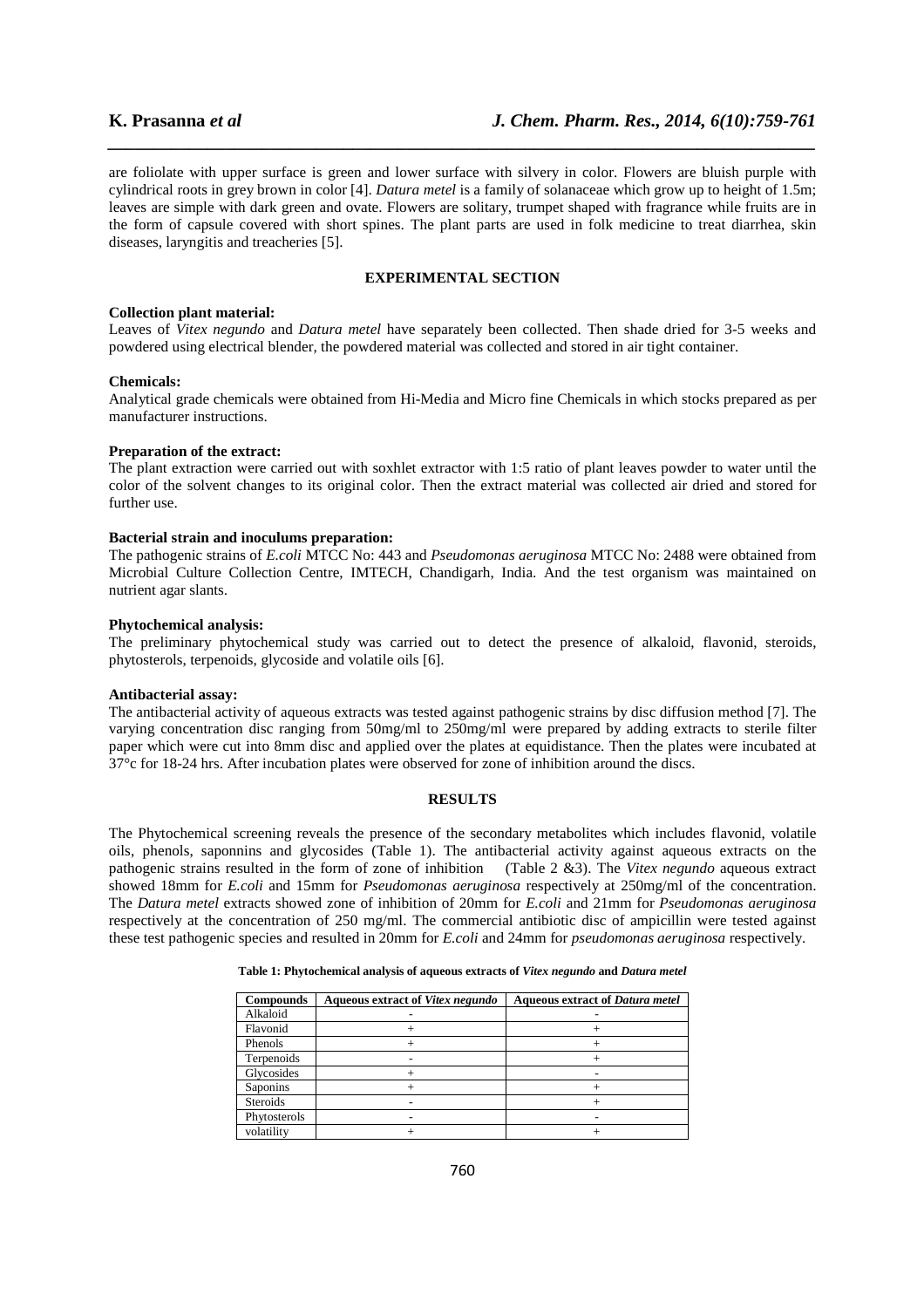are foliolate with upper surface is green and lower surface with silvery in color. Flowers are bluish purple with cylindrical roots in grey brown in color [4]. *Datura metel* is a family of solanaceae which grow up to height of 1.5m; leaves are simple with dark green and ovate. Flowers are solitary, trumpet shaped with fragrance while fruits are in the form of capsule covered with short spines. The plant parts are used in folk medicine to treat diarrhea, skin diseases, laryngitis and treacheries [5].

*\_\_\_\_\_\_\_\_\_\_\_\_\_\_\_\_\_\_\_\_\_\_\_\_\_\_\_\_\_\_\_\_\_\_\_\_\_\_\_\_\_\_\_\_\_\_\_\_\_\_\_\_\_\_\_\_\_\_\_\_\_\_\_\_\_\_\_\_\_\_\_\_\_\_\_\_\_\_*

# **EXPERIMENTAL SECTION**

#### **Collection plant material:**

Leaves of *Vitex negundo* and *Datura metel* have separately been collected. Then shade dried for 3-5 weeks and powdered using electrical blender, the powdered material was collected and stored in air tight container.

#### **Chemicals:**

Analytical grade chemicals were obtained from Hi-Media and Micro fine Chemicals in which stocks prepared as per manufacturer instructions.

#### **Preparation of the extract:**

The plant extraction were carried out with soxhlet extractor with 1:5 ratio of plant leaves powder to water until the color of the solvent changes to its original color. Then the extract material was collected air dried and stored for further use.

# **Bacterial strain and inoculums preparation:**

The pathogenic strains of *E.coli* MTCC No: 443 and *Pseudomonas aeruginosa* MTCC No: 2488 were obtained from Microbial Culture Collection Centre, IMTECH, Chandigarh, India. And the test organism was maintained on nutrient agar slants.

## **Phytochemical analysis:**

The preliminary phytochemical study was carried out to detect the presence of alkaloid, flavonid, steroids, phytosterols, terpenoids, glycoside and volatile oils [6].

# **Antibacterial assay:**

The antibacterial activity of aqueous extracts was tested against pathogenic strains by disc diffusion method [7]. The varying concentration disc ranging from 50mg/ml to 250mg/ml were prepared by adding extracts to sterile filter paper which were cut into 8mm disc and applied over the plates at equidistance. Then the plates were incubated at 37°c for 18-24 hrs. After incubation plates were observed for zone of inhibition around the discs.

#### **RESULTS**

The Phytochemical screening reveals the presence of the secondary metabolites which includes flavonid, volatile oils, phenols, saponnins and glycosides (Table 1). The antibacterial activity against aqueous extracts on the pathogenic strains resulted in the form of zone of inhibition (Table 2 &3). The *Vitex negundo* aqueous extract showed 18mm for *E.coli* and 15mm for *Pseudomonas aeruginosa* respectively at 250mg/ml of the concentration. The *Datura metel* extracts showed zone of inhibition of 20mm for *E.coli* and 21mm for *Pseudomonas aeruginosa* respectively at the concentration of 250 mg/ml. The commercial antibiotic disc of ampicillin were tested against these test pathogenic species and resulted in 20mm for *E.coli* and 24mm for *pseudomonas aeruginosa* respectively.

|  |  | Table 1: Phytochemical analysis of aqueous extracts of Vitex negundo and Datura metel |  |
|--|--|---------------------------------------------------------------------------------------|--|
|--|--|---------------------------------------------------------------------------------------|--|

| <b>Compounds</b> | Aqueous extract of Vitex negundo | <b>Aqueous extract of Datura metel</b> |
|------------------|----------------------------------|----------------------------------------|
| Alkaloid         |                                  |                                        |
| Flavonid         |                                  |                                        |
| Phenols          |                                  |                                        |
| Terpenoids       |                                  |                                        |
| Glycosides       |                                  |                                        |
| Saponins         |                                  |                                        |
| <b>Steroids</b>  |                                  |                                        |
| Phytosterols     |                                  |                                        |
| volatility       |                                  |                                        |